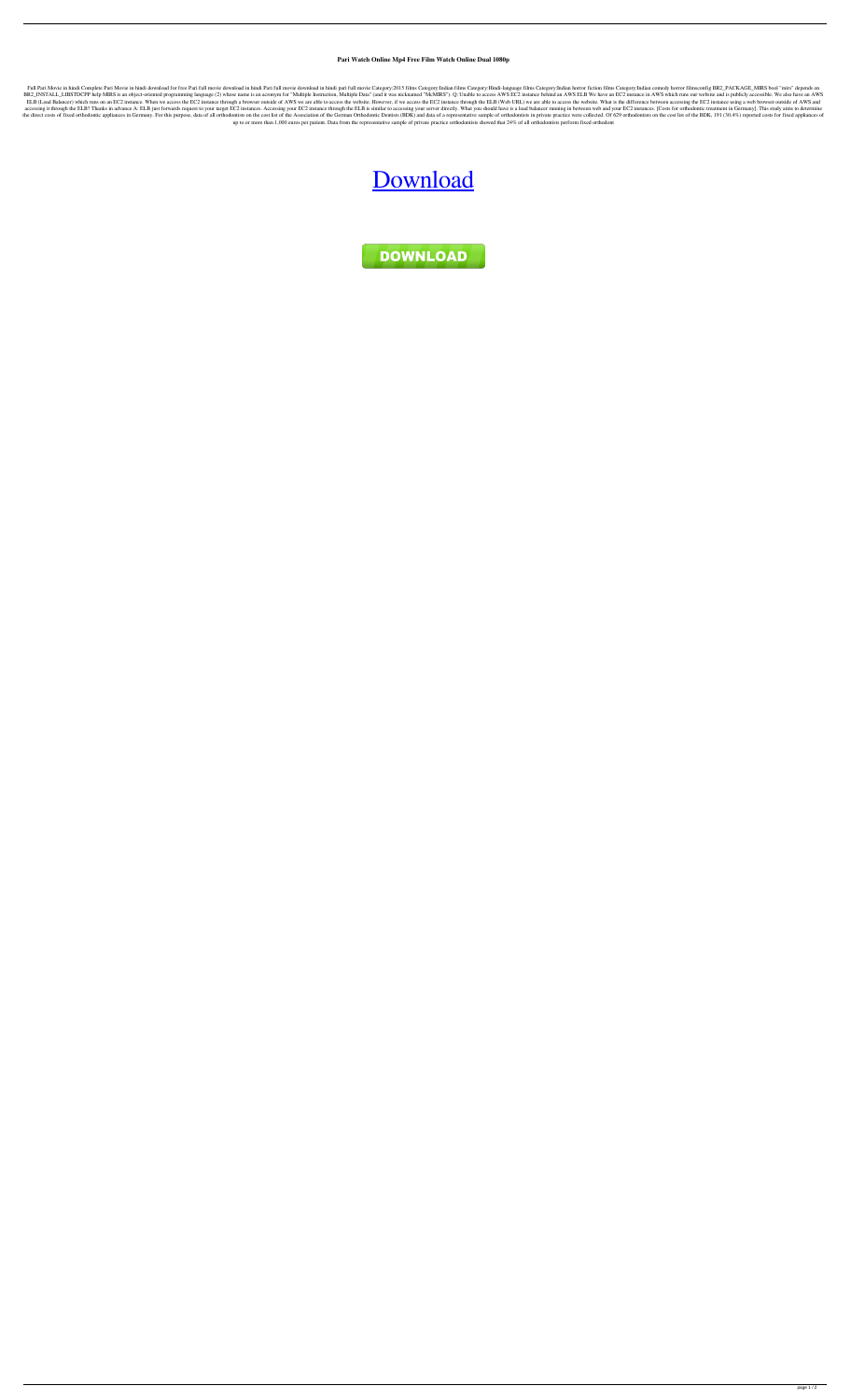**Pari Watch Online Mp4 Free Film Watch Online Dual 1080p**

Full Pari Movie in hindi Complete Pari Movie in hindi download for free Pari full movie download in hindi Pari full movie download in hindi Pari full movie Category:2015 films Category:Hindi-language films Category:Indian BR2\_INSTALL\_LIBSTDCPP help MIRS is an object-oriented programming language (2) whose name is an acronym for "Multiple Instruction, Multiple Data" (and it was nicknamed "McMIRS"). Q: Unable to access AWS EC2 instance behind ELB (Load Balancer) which runs on an EC2 instance. When we access the EC2 instance through a browser outside of AWS we are able to access the website. However, if we access the EC2 instance through the ELB (Web URL) we are accessing it through the ELB? Thanks in advance A: ELB just forwards request to your target EC2 instances. Accessing your EC2 instance through the ELB is similar to accessing your server directly. What you should have is a the direct costs of fixed orthodontic appliances in Germany. For this purpose, data of all orthodontists on the cost list of the Association of the German Orthodontic Dentists (BDK) and data of a representative sample of o up to or more than 1,000 euros per patient. Data from the representative sample of private practice orthodontists showed that 24% of all orthodontists perform fixed orthodont

## [Download](http://evacdir.com/ZG93bmxvYWR8ZnM4TVRCcFlueDhNVFkxTWpjME1EZzJObng4TWpVM05IeDhLRTBwSUhKbFlXUXRZbXh2WnlCYlJtRnpkQ0JIUlU1ZA/blocks/UGFyaSBtb3ZpZSBkb3dubG9hZCBpbiBoaW5kaSBtcDQgbW92aWVzUGF.reliability.placekickers./recordation/troposphere/)

DOWNLOAD